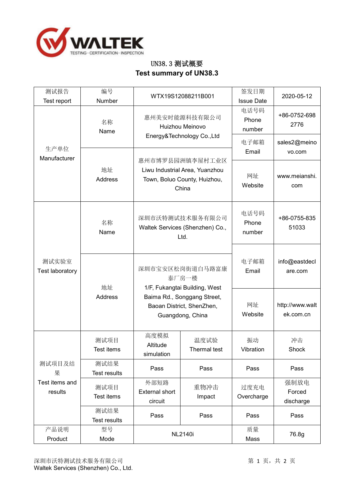

## UN38.3 测试概要 **Test summary of UN38.3**

| 测试报告<br>Test report                      | 编号<br>Number                | WTX19S12088211B001                                                                                                                                       |                             | 签发日期<br><b>Issue Date</b> | 2020-05-12                   |
|------------------------------------------|-----------------------------|----------------------------------------------------------------------------------------------------------------------------------------------------------|-----------------------------|---------------------------|------------------------------|
|                                          | 名称<br>Name                  | 惠州美安时能源科技有限公司<br>Huizhou Meinovo                                                                                                                         |                             | 电话号码<br>Phone<br>number   | +86-0752-698<br>2776         |
| 生产单位                                     |                             | Energy&Technology Co., Ltd                                                                                                                               |                             | 电子邮箱<br>Email             | sales2@meino<br>vo.com       |
| Manufacturer<br>测试实验室<br>Test laboratory | 地址<br><b>Address</b>        | 惠州市博罗县园洲镇李屋村工业区<br>Liwu Industrial Area, Yuanzhou<br>Town, Boluo County, Huizhou,<br>China<br>深圳市沃特测试技术服务有限公司<br>Waltek Services (Shenzhen) Co.,<br>Ltd. |                             | 网址<br>Website             | www.meianshi.<br>com         |
|                                          | 名称<br>Name                  |                                                                                                                                                          |                             | 电话号码<br>Phone<br>number   | +86-0755-835<br>51033        |
|                                          | 地址                          | 深圳市宝安区松岗街道白马路富康<br>泰厂房一楼<br>1/F, Fukangtai Building, West                                                                                                |                             | 电子邮箱<br>Email             | info@eastdecl<br>are.com     |
| 测试项目及结<br>果<br>Test items and<br>results | <b>Address</b>              | Baima Rd., Songgang Street,<br>Baoan District, ShenZhen,<br>Guangdong, China                                                                             |                             | 网址<br>Website             | http://www.walt<br>ek.com.cn |
|                                          | 测试项目<br><b>Test items</b>   | 高度模拟<br>Altitude<br>simulation                                                                                                                           | 温度试验<br><b>Thermal test</b> | 振动<br>Vibration           | 冲击<br>Shock                  |
|                                          | 测试结果<br><b>Test results</b> | Pass                                                                                                                                                     | Pass                        | Pass                      | Pass                         |
|                                          | 测试项目<br>Test items          | 外部短路<br><b>External short</b><br>circuit                                                                                                                 | 重物冲击<br>Impact              | 过度充电<br>Overcharge        | 强制放电<br>Forced<br>discharge  |
|                                          | 测试结果<br><b>Test results</b> | Pass                                                                                                                                                     | Pass                        | Pass                      | Pass                         |
| 产品说明<br>Product                          | 型号<br>Mode                  | <b>NL2140i</b>                                                                                                                                           |                             | 质量<br>Mass                | 76.8g                        |